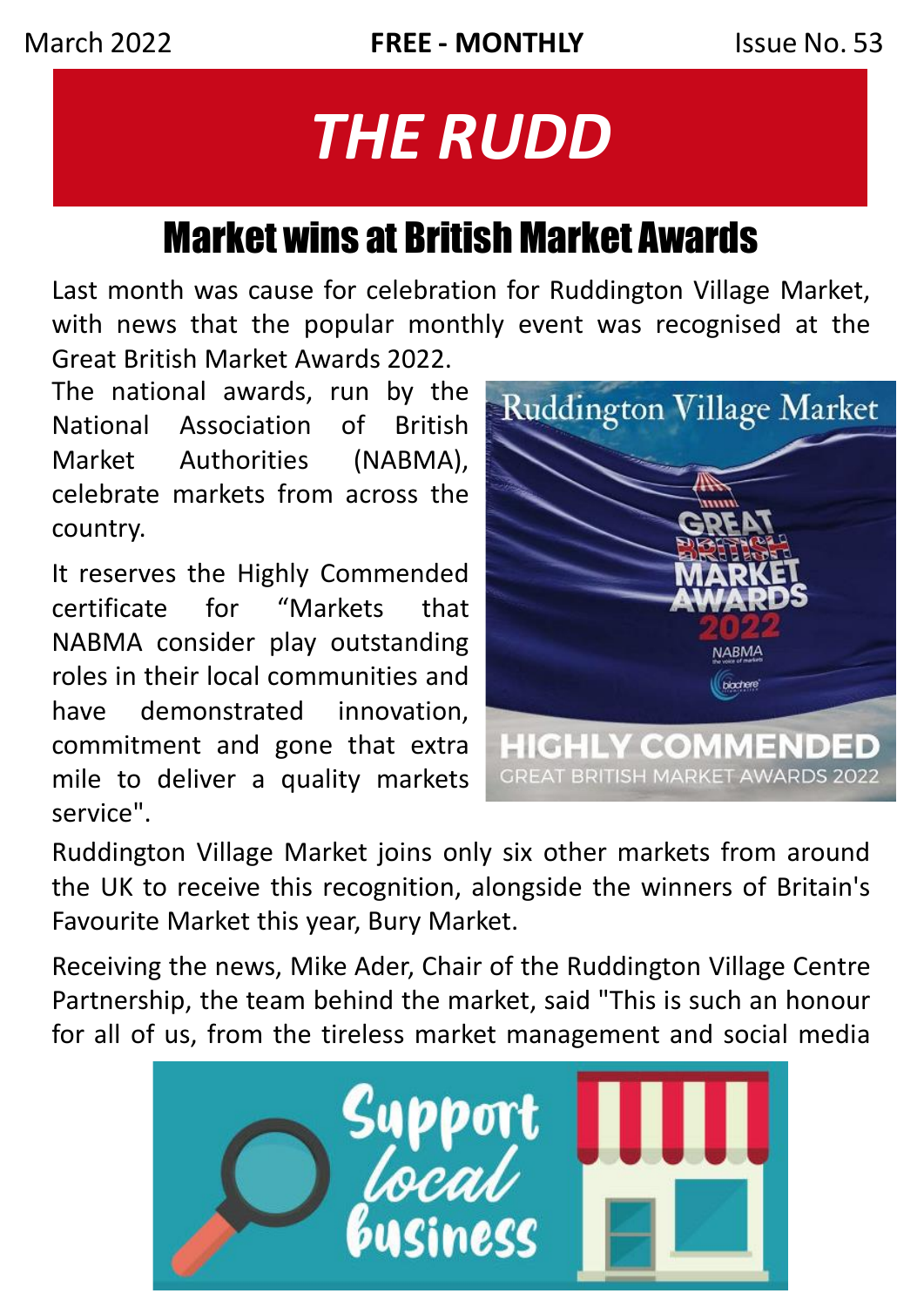# *THE RUDD*

# Market wins at British Market Awards

Last month was cause for celebration for Ruddington Village Market, with news that the popular monthly event was recognised at the Great British Market Awards 2022.

The national awards, run by the National Association of British Market Authorities (NABMA), celebrate markets from across the country.

It reserves the Highly Commended certificate for "Markets that NABMA consider play outstanding roles in their local communities and have demonstrated innovation, commitment and gone that extra mile to deliver a quality markets service".



Ruddington Village Market joins only six other markets from around the UK to receive this recognition, alongside the winners of Britain's Favourite Market this year, Bury Market.

Receiving the news, Mike Ader, Chair of the Ruddington Village Centre Partnership, the team behind the market, said "This is such an honour for all of us, from the tireless market management and social media

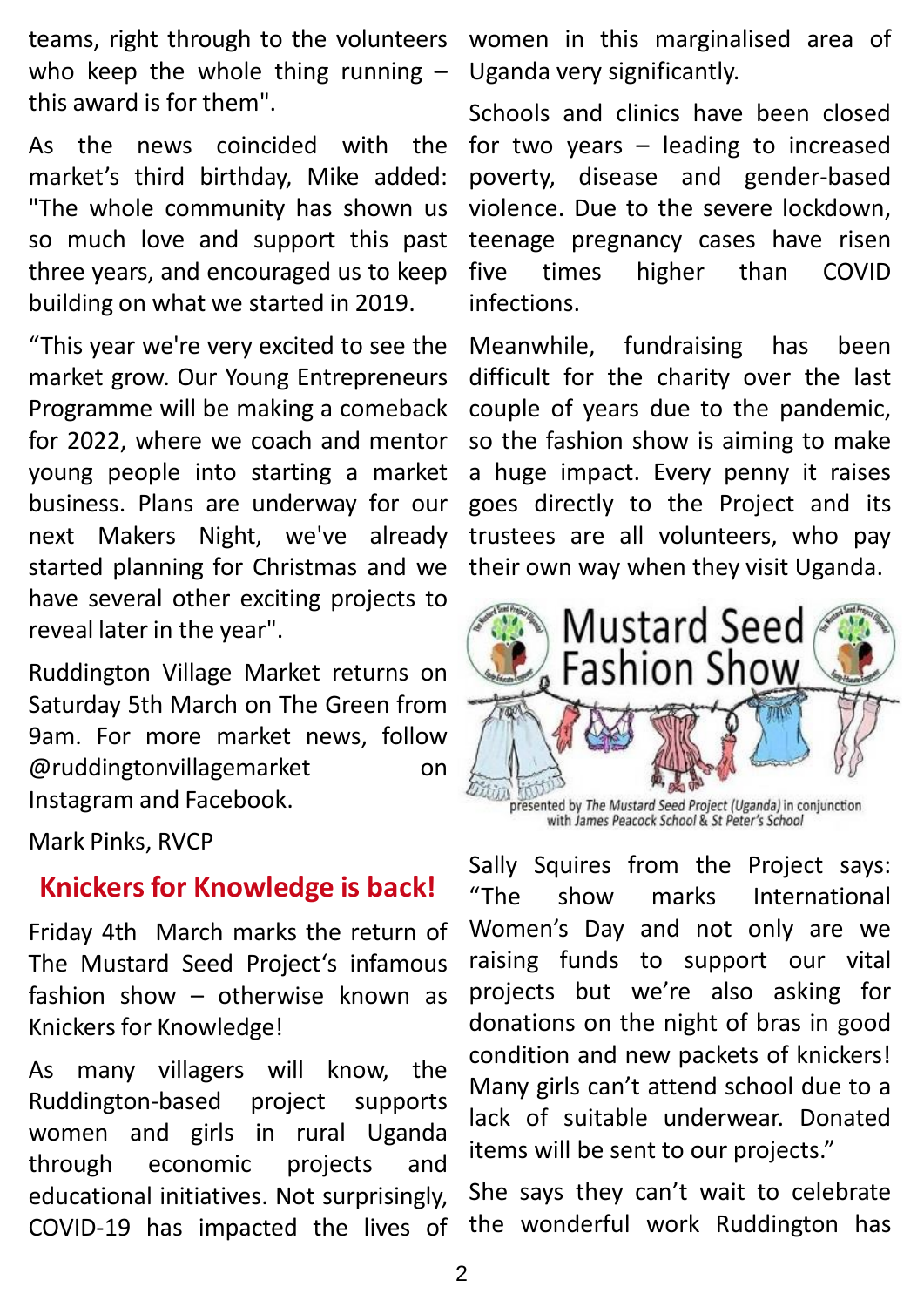teams, right through to the volunteers who keep the whole thing running  $$ this award is for them".

As the news coincided with the market's third birthday, Mike added: "The whole community has shown us so much love and support this past three years, and encouraged us to keep building on what we started in 2019.

"This year we're very excited to see the market grow. Our Young Entrepreneurs Programme will be making a comeback for 2022, where we coach and mentor young people into starting a market business. Plans are underway for our next Makers Night, we've already started planning for Christmas and we have several other exciting projects to reveal later in the year".

Ruddington Village Market returns on Saturday 5th March on The Green from 9am. For more market news, follow @ruddingtonvillagemarket on Instagram and Facebook.

Mark Pinks, RVCP

## **Knickers for Knowledge is back!**

Friday 4th March marks the return of The Mustard Seed Project's infamous fashion show – otherwise known as Knickers for Knowledge!

As many villagers will know, the Ruddington-based project supports women and girls in rural Uganda through economic projects and educational initiatives. Not surprisingly, COVID-19 has impacted the lives of

women in this marginalised area of Uganda very significantly.

Schools and clinics have been closed for two years – leading to increased poverty, disease and gender-based violence. Due to the severe lockdown, teenage pregnancy cases have risen five times higher than COVID infections.

Meanwhile, fundraising has been difficult for the charity over the last couple of years due to the pandemic, so the fashion show is aiming to make a huge impact. Every penny it raises goes directly to the Project and its trustees are all volunteers, who pay their own way when they visit Uganda.



presented by The Mustard Seed Project (Uganda) in conjunction<br>with James Peacock School & St Peter's School

Sally Squires from the Project says: "The show marks International Women's Day and not only are we raising funds to support our vital projects but we're also asking for donations on the night of bras in good condition and new packets of knickers! Many girls can't attend school due to a lack of suitable underwear. Donated items will be sent to our projects."

She says they can't wait to celebrate the wonderful work Ruddington has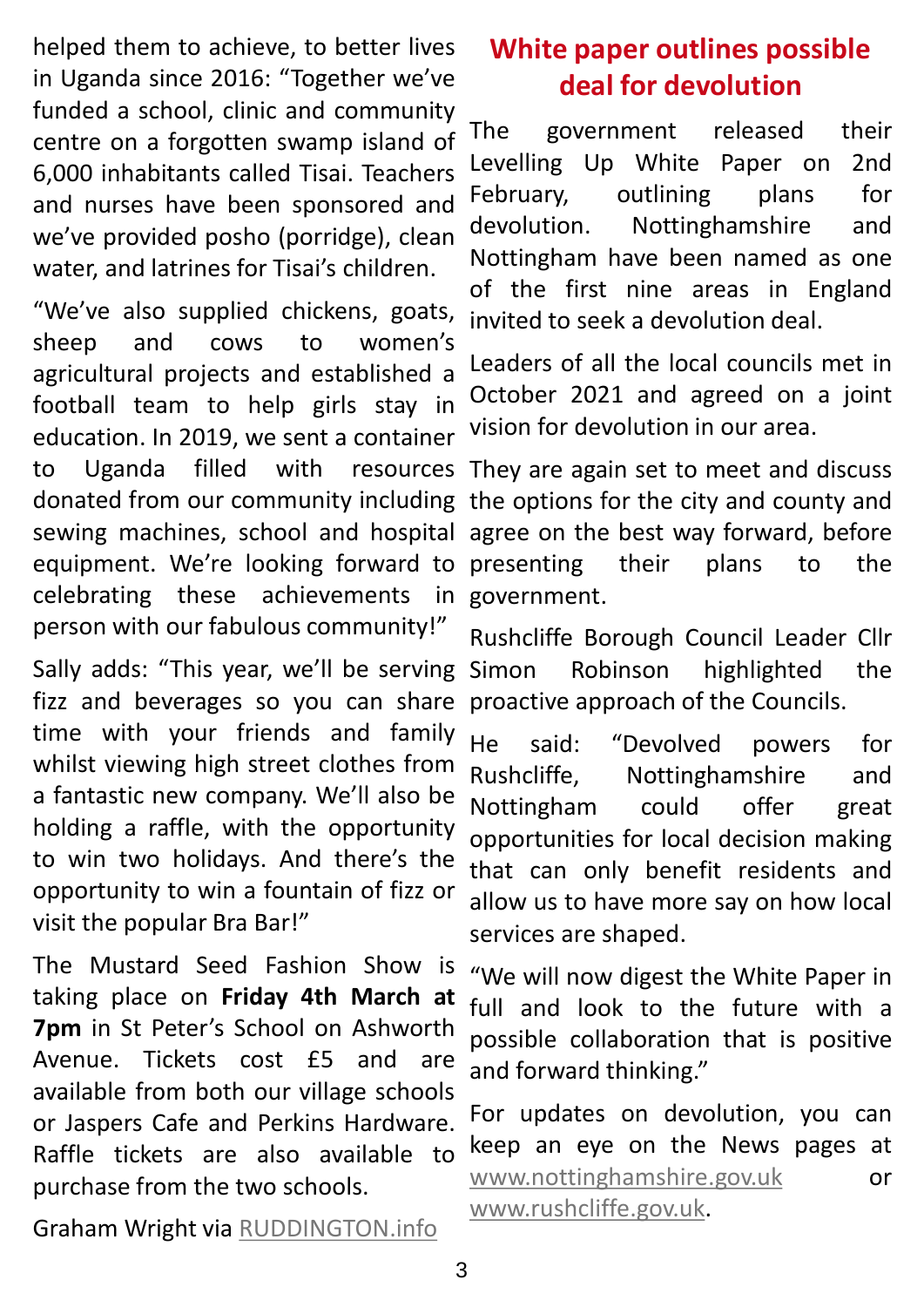helped them to achieve, to better lives in Uganda since 2016: "Together we've funded a school, clinic and community centre on a forgotten swamp island of 6,000 inhabitants called Tisai. Teachers and nurses have been sponsored and we've provided posho (porridge), clean water, and latrines for Tisai's children.

"We've also supplied chickens, goats, sheep and cows to women's agricultural projects and established a football team to help girls stay in education. In 2019, we sent a container to Uganda filled with resources donated from our community including the options for the city and county and sewing machines, school and hospital agree on the best way forward, before equipment. We're looking forward to presenting their plans to the celebrating these achievements in person with our fabulous community!"

Sally adds: "This year, we'll be serving fizz and beverages so you can share time with your friends and family whilst viewing high street clothes from a fantastic new company. We'll also be holding a raffle, with the opportunity to win two holidays. And there's the opportunity to win a fountain of fizz or visit the popular Bra Bar!"

The Mustard Seed Fashion Show is taking place on **Friday 4th March at 7pm** in St Peter's School on Ashworth Avenue. Tickets cost £5 and are available from both our village schools or Jaspers Cafe and Perkins Hardware. Raffle tickets are also available to purchase from the two schools.

**White paper outlines possible deal for devolution**

The government released their Levelling Up White Paper on 2nd February, outlining plans for devolution. Nottinghamshire and Nottingham have been named as one of the first nine areas in England invited to seek a devolution deal.

Leaders of all the local councils met in October 2021 and agreed on a joint vision for devolution in our area.

They are again set to meet and discuss government.

Rushcliffe Borough Council Leader Cllr Simon Robinson highlighted the proactive approach of the Councils.

He said: "Devolved powers for Rushcliffe, Nottinghamshire and Nottingham could offer great opportunities for local decision making that can only benefit residents and allow us to have more say on how local services are shaped.

"We will now digest the White Paper in full and look to the future with a possible collaboration that is positive and forward thinking."

For updates on devolution, you can keep an eye on the News pages at [www.nottinghamshire.gov.uk](http://www.nottinghamshire.gov.uk/) or [www.rushcliffe.gov.uk](http://www.rushcliffe.gov.uk/).

Graham Wright via [RUDDINGTON.info](http://www.ruddington.info/)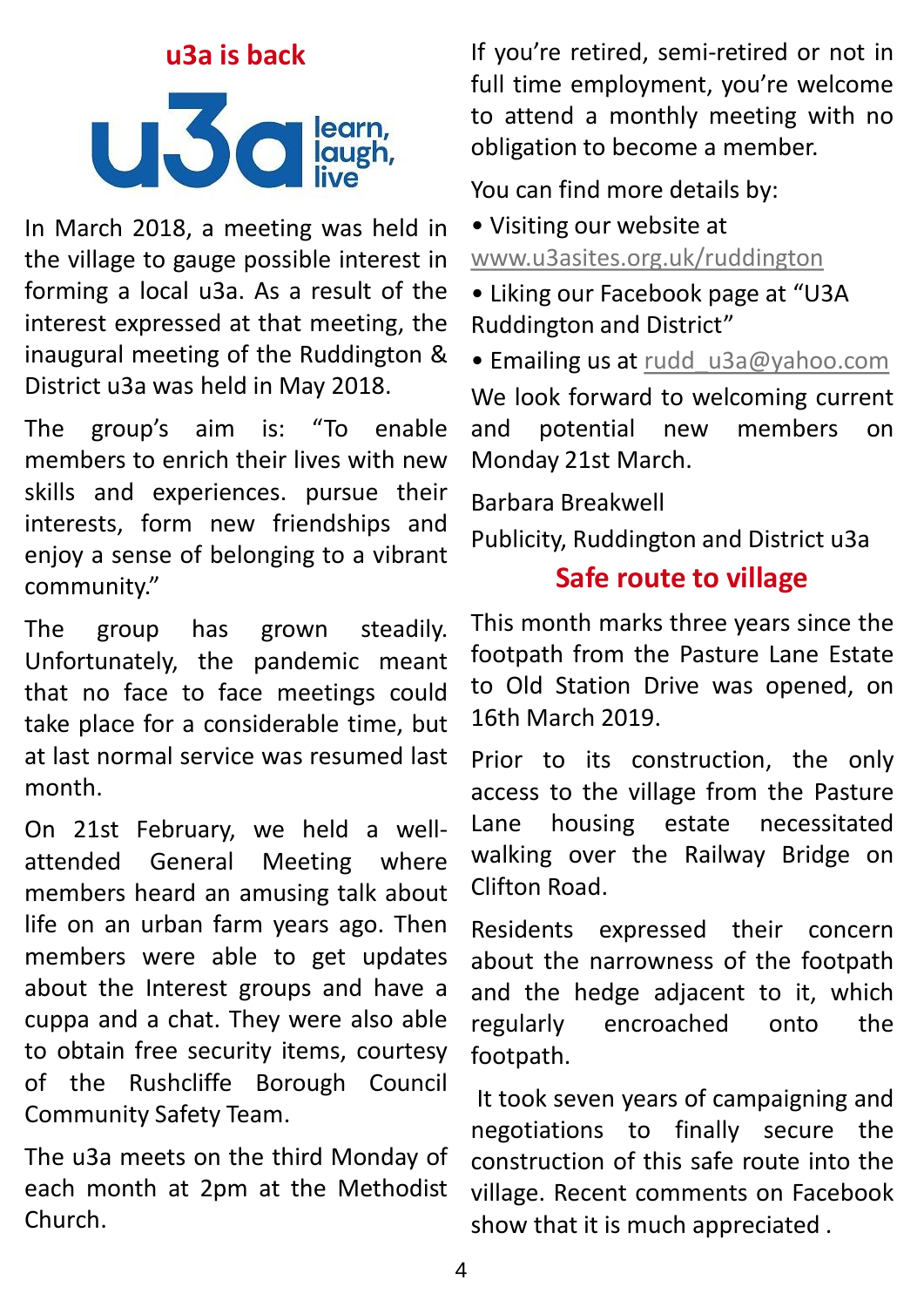# **u3a is back ULSC** learn,

In March 2018, a meeting was held in the village to gauge possible interest in forming a local u3a. As a result of the interest expressed at that meeting, the inaugural meeting of the Ruddington & District u3a was held in May 2018.

The group's aim is: "To enable members to enrich their lives with new skills and experiences. pursue their interests, form new friendships and enjoy a sense of belonging to a vibrant community."

The group has grown steadily. Unfortunately, the pandemic meant that no face to face meetings could take place for a considerable time, but at last normal service was resumed last month.

On 21st February, we held a wellattended General Meeting where members heard an amusing talk about life on an urban farm years ago. Then members were able to get updates about the Interest groups and have a cuppa and a chat. They were also able to obtain free security items, courtesy of the Rushcliffe Borough Council Community Safety Team.

The u3a meets on the third Monday of each month at 2pm at the Methodist Church.

If you're retired, semi-retired or not in full time employment, you're welcome to attend a monthly meeting with no obligation to become a member.

You can find more details by:

- Visiting our website at [www.u3asites.org.uk/ruddington](http://www.u3asites.org.uk/ruddington)
- Liking our Facebook page at "U3A Ruddington and District"
- Emailing us at rudd u3a@yahoo.com

We look forward to welcoming current and potential new members on Monday 21st March.

Barbara Breakwell

Publicity, Ruddington and District u3a

## **Safe route to village**

This month marks three years since the footpath from the Pasture Lane Estate to Old Station Drive was opened, on 16th March 2019.

Prior to its construction, the only access to the village from the Pasture Lane housing estate necessitated walking over the Railway Bridge on Clifton Road.

Residents expressed their concern about the narrowness of the footpath and the hedge adjacent to it, which regularly encroached onto the footpath.

It took seven years of campaigning and negotiations to finally secure the construction of this safe route into the village. Recent comments on Facebook show that it is much appreciated .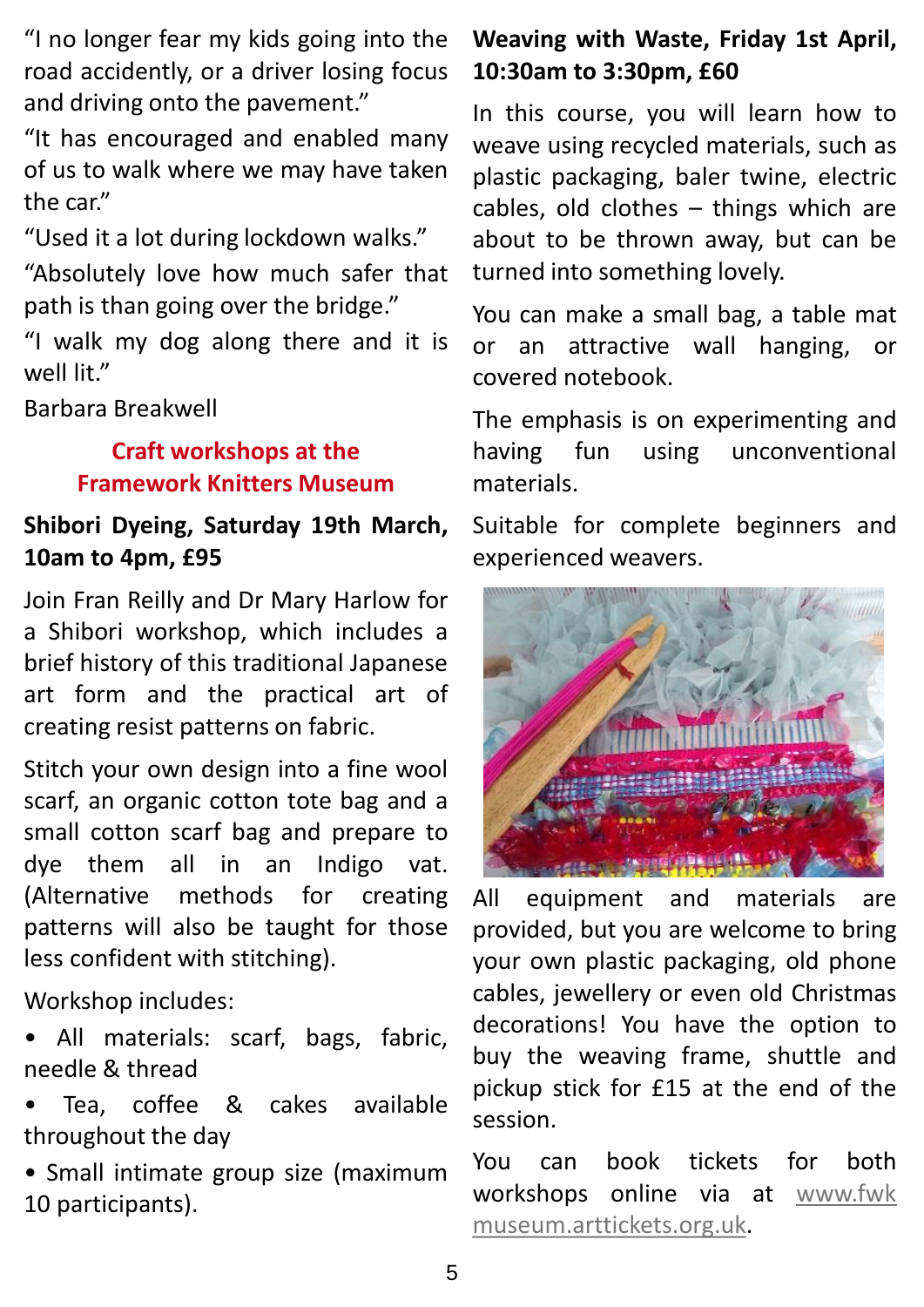"I no longer fear my kids going into the road accidently, or a driver losing focus and driving onto the pavement."

"It has encouraged and enabled many of us to walk where we may have taken the car."

"Used it a lot during lockdown walks."

"Absolutely love how much safer that path is than going over the bridge."

"I walk my dog along there and it is well lit."

Barbara Breakwell

## **Craft workshops at the Framework Knitters Museum**

## **Shibori Dyeing, Saturday 19th March, 10am to 4pm, £95**

Join Fran Reilly and Dr Mary Harlow for a Shibori workshop, which includes a brief history of this traditional Japanese art form and the practical art of creating resist patterns on fabric.

Stitch your own design into a fine wool scarf, an organic cotton tote bag and a small cotton scarf bag and prepare to dye them all in an Indigo vat. (Alternative methods for creating patterns will also be taught for those less confident with stitching).

Workshop includes:

- All materials: scarf, bags, fabric, needle & thread
- Tea, coffee & cakes available throughout the day
- Small intimate group size (maximum 10 participants).

## **Weaving with Waste, Friday 1st April, 10:30am to 3:30pm, £60**

In this course, you will learn how to weave using recycled materials, such as plastic packaging, baler twine, electric cables, old clothes – things which are about to be thrown away, but can be turned into something lovely.

You can make a small bag, a table mat or an attractive wall hanging, or covered notebook.

The emphasis is on experimenting and having fun using unconventional materials.

Suitable for complete beginners and experienced weavers.



All equipment and materials are provided, but you are welcome to bring your own plastic packaging, old phone cables, jewellery or even old Christmas decorations! You have the option to buy the weaving frame, shuttle and pickup stick for £15 at the end of the session.

You can book tickets for both workshops online via at www.fwk [museum.arttickets.org.uk.](http://www.fwkmuseum.arttickets.org.uk/)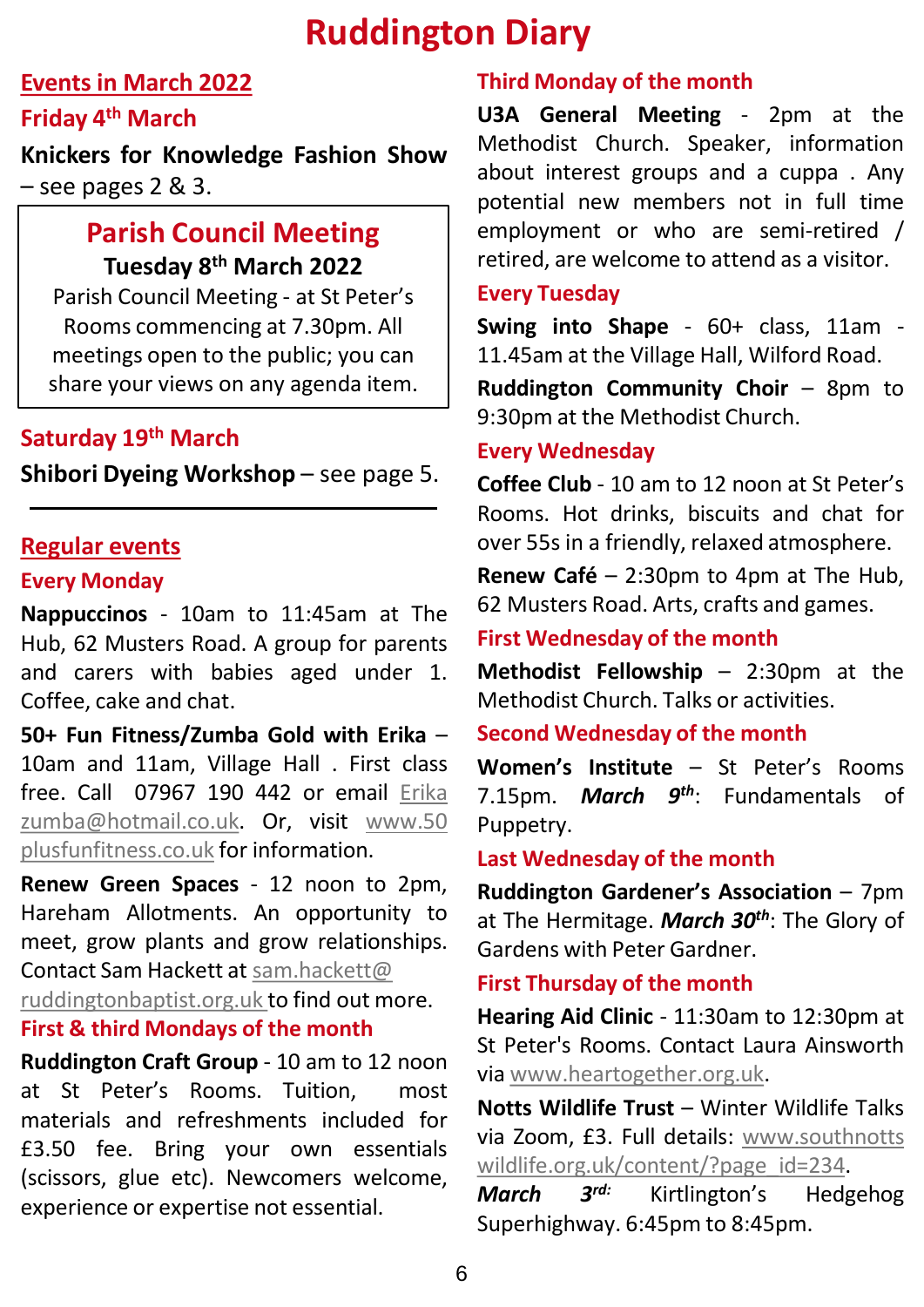## **Ruddington Diary**

## **Events in March 2022**

#### **Friday 4 th March**

**Knickers for Knowledge Fashion Show**  $-$  see pages 2 & 3.

## **Parish Council Meeting Tuesday 8th March 2022**

Parish Council Meeting - at St Peter's Rooms commencing at 7.30pm. All meetings open to the public; you can share your views on any agenda item.

## **Saturday 19th March**

**Shibori Dyeing Workshop** – see page 5.

#### **Regular events**

#### **Every Monday**

**Nappuccinos** - 10am to 11:45am at The Hub, 62 Musters Road. A group for parents and carers with babies aged under 1. Coffee, cake and chat.

**50+ Fun Fitness/Zumba Gold with Erika** – 10am and 11am, Village Hall . First class free. Call 07967 190 442 or email Erika [zumba@hotmail.co.uk.](http://www.50plusfunfitness.co.uk/) Or, visit www.50 plusfunfitness.co.uk for information.

**Renew Green Spaces** - 12 noon to 2pm, Hareham Allotments. An opportunity to meet, grow plants and grow relationships. Contact Sam Hackett at [sam.hackett@](mailto:sam.hackett@ruddingtonbaptist.org.uk) [ruddingtonbaptist.org.uk](mailto:sam.hackett@ruddingtonbaptist.org.uk) to find out more. **First & third Mondays of the month**

**Ruddington Craft Group** - 10 am to 12 noon at St Peter's Rooms. Tuition, most materials and refreshments included for £3.50 fee. Bring your own essentials (scissors, glue etc). Newcomers welcome, experience or expertise not essential.

#### **Third Monday of the month**

**U3A General Meeting** - 2pm at the Methodist Church. Speaker, information about interest groups and a cuppa . Any potential new members not in full time employment or who are semi-retired / retired, are welcome to attend as a visitor.

#### **Every Tuesday**

**Swing into Shape** - 60+ class, 11am - 11.45am at the Village Hall, Wilford Road.

**Ruddington Community Choir** – 8pm to 9:30pm at the Methodist Church.

#### **Every Wednesday**

**Coffee Club** - 10 am to 12 noon at St Peter's Rooms. Hot drinks, biscuits and chat for over 55s in a friendly, relaxed atmosphere.

**Renew Café** – 2:30pm to 4pm at The Hub, 62 Musters Road. Arts, crafts and games.

#### **First Wednesday of the month**

**Methodist Fellowship** – 2:30pm at the Methodist Church. Talks or activities.

#### **Second Wednesday of the month**

**Women's Institute** – St Peter's Rooms 7.15pm. *March 9 th*: Fundamentals of Puppetry.

#### **Last Wednesday of the month**

**Ruddington Gardener's Association** – 7pm at The Hermitage. *March 30th*: The Glory of Gardens with Peter Gardner.

#### **First Thursday of the month**

**Hearing Aid Clinic** - 11:30am to 12:30pm at St Peter's Rooms. Contact Laura Ainsworth via [www.heartogether.org.uk](http://www.heartogether.org.uk/).

**Notts Wildlife Trust** – Winter Wildlife Talks via Zoom, £3. Full details: www.southnotts [wildlife.org.uk/content/?page\\_id=234.](http://www.southnottswildlife.org.uk/content/?page_id=234)

*March 3* Kirtlington's Hedgehog Superhighway. 6:45pm to 8:45pm.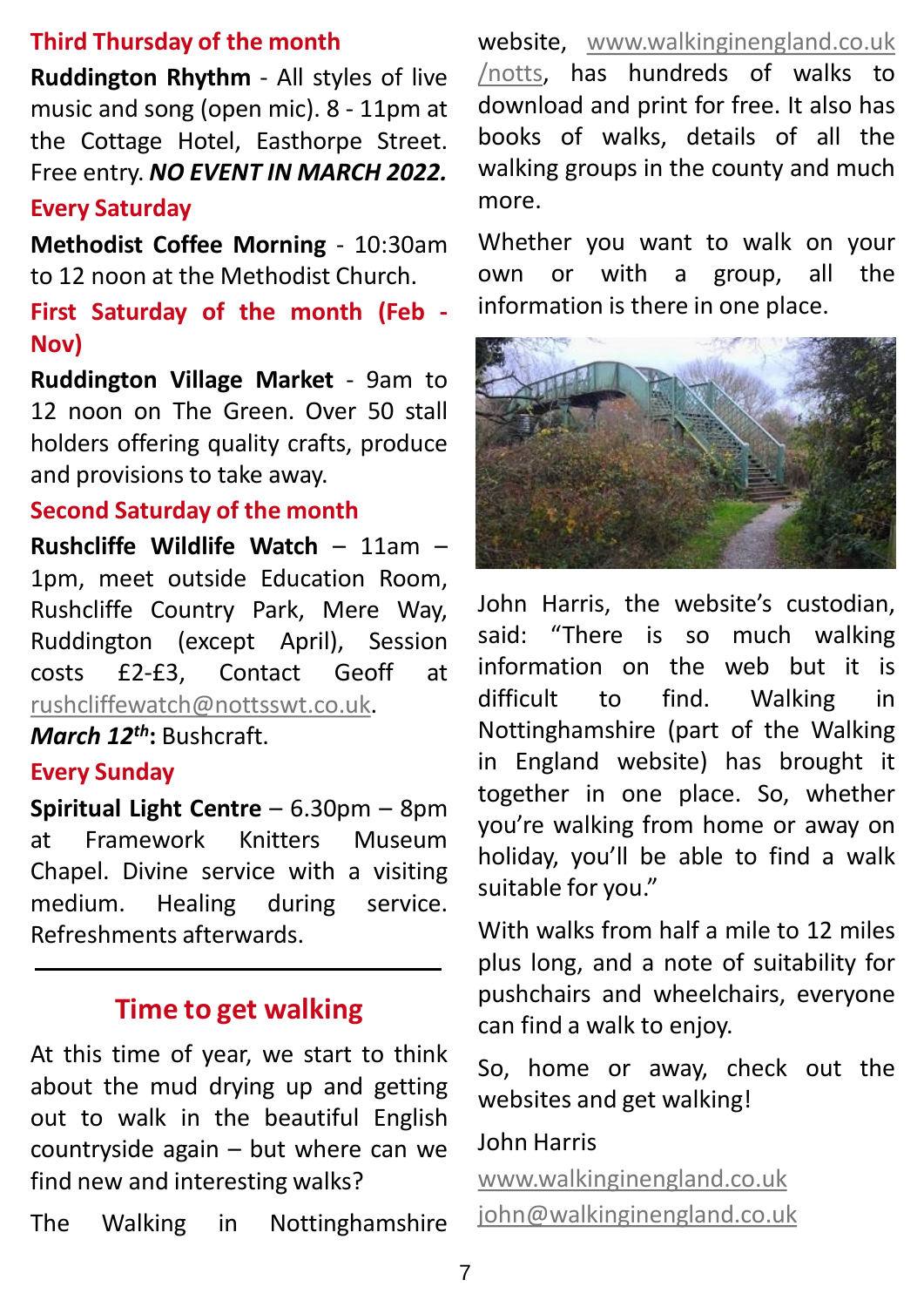## **Third Thursday of the month**

**Ruddington Rhythm** - All styles of live music and song (open mic). 8 - 11pm at the Cottage Hotel, Easthorpe Street. Free entry. *NO EVENT IN MARCH 2022.*

#### **Every Saturday**

**Methodist Coffee Morning** - 10:30am to 12 noon at the Methodist Church.

#### **First Saturday of the month (Feb - Nov)**

**Ruddington Village Market** - 9am to 12 noon on The Green. Over 50 stall holders offering quality crafts, produce and provisions to take away.

#### **Second Saturday of the month**

**Rushcliffe Wildlife Watch** – 11am – 1pm, meet outside Education Room, Rushcliffe Country Park, Mere Way, Ruddington (except April), Session costs £2-£3, Contact Geoff at [rushcliffewatch@nottsswt.co.uk](mailto:rushcliffewatch@nottsswt.co.uk).

*March 12th***:** Bushcraft.

#### **Every Sunday**

**Spiritual Light Centre** – 6.30pm – 8pm at Framework Knitters Museum Chapel. Divine service with a visiting medium. Healing during service. Refreshments afterwards.

## **Time to get walking**

At this time of year, we start to think about the mud drying up and getting out to walk in the beautiful English countryside again – but where can we find new and interesting walks?

The Walking in Nottinghamshire

website, [www.walkinginengland.co.uk](https://www.walkinginengland.co.uk/notts) /notts, has hundreds of walks to download and print for free. It also has books of walks, details of all the walking groups in the county and much more.

Whether you want to walk on your own or with a group, all the information is there in one place.



John Harris, the website's custodian, said: "There is so much walking information on the web but it is difficult to find. Walking in Nottinghamshire (part of the Walking in England website) has brought it together in one place. So, whether you're walking from home or away on holiday, you'll be able to find a walk suitable for you."

With walks from half a mile to 12 miles plus long, and a note of suitability for pushchairs and wheelchairs, everyone can find a walk to enjoy.

So, home or away, check out the websites and get walking!

#### John Harris

[www.walkinginengland.co.uk](http://www.walkinginengland.co.uk/)

[john@walkinginengland.co.uk](mailto:john@walkinginengland.co.uk)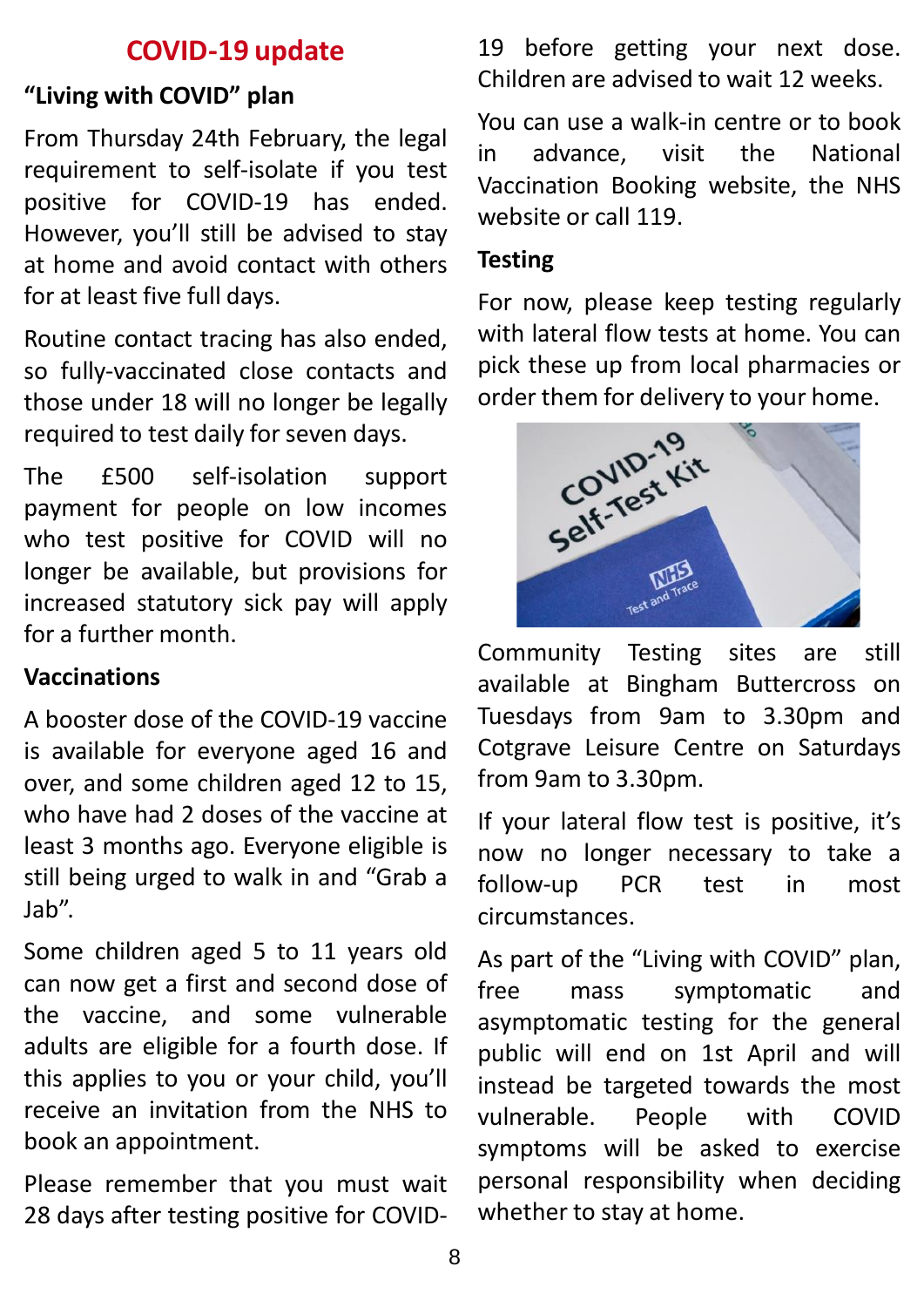## **COVID-19 update**

## **"Living with COVID" plan**

From Thursday 24th February, the legal requirement to self-isolate if you test positive for COVID-19 has ended. However, you'll still be advised to stay at home and avoid contact with others for at least five full days.

Routine contact tracing has also ended, so fully-vaccinated close contacts and those under 18 will no longer be legally required to test daily for seven days.

The £500 self-isolation support payment for people on low incomes who test positive for COVID will no longer be available, but provisions for increased statutory sick pay will apply for a further month.

#### **Vaccinations**

A booster dose of the COVID-19 vaccine is available for everyone aged 16 and over, and some children aged 12 to 15, who have had 2 doses of the vaccine at least 3 months ago. Everyone eligible is still being urged to walk in and "Grab a Jab".

Some children aged 5 to 11 years old can now get a first and second dose of the vaccine, and some vulnerable adults are eligible for a fourth dose. If this applies to you or your child, you'll receive an invitation from the NHS to book an appointment.

Please remember that you must wait 28 days after testing positive for COVID- 19 before getting your next dose. Children are advised to wait 12 weeks.

You can use a walk-in centre or to book in advance, visit the National Vaccination Booking website, the NHS website or call 119.

#### **Testing**

For now, please keep testing regularly with lateral flow tests at home. You can pick these up from local pharmacies or



Community Testing sites are still available at Bingham Buttercross on Tuesdays from 9am to 3.30pm and Cotgrave Leisure Centre on Saturdays from 9am to 3.30pm.

If your lateral flow test is positive, it's now no longer necessary to take a follow-up PCR test in most circumstances.

As part of the "Living with COVID" plan, free mass symptomatic and asymptomatic testing for the general public will end on 1st April and will instead be targeted towards the most vulnerable. People with COVID symptoms will be asked to exercise personal responsibility when deciding whether to stay at home.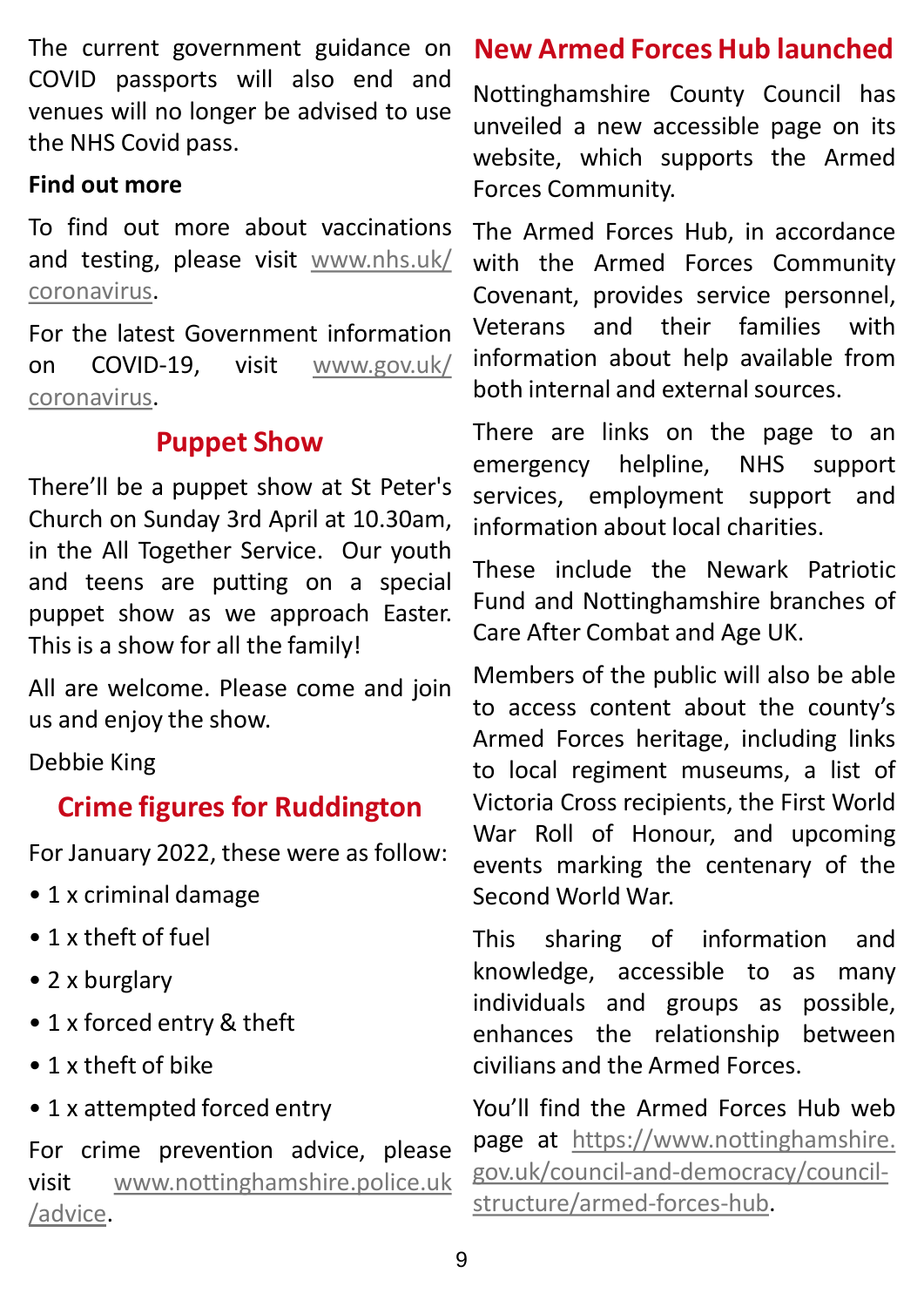The current government guidance on COVID passports will also end and venues will no longer be advised to use the NHS Covid pass.

#### **Find out more**

To find out more about vaccinations and testing, please visit [www.nhs.uk/](http://www.nhs.uk/coronavirus) coronavirus.

For the latest Government information on COVID-19, visit [www.gov.uk/](http://www.gov.uk/coronavirus) coronavirus.

## **Puppet Show**

There'll be a puppet show at St Peter's Church on Sunday 3rd April at 10.30am, in the All Together Service. Our youth and teens are putting on a special puppet show as we approach Easter. This is a show for all the family!

All are welcome. Please come and join us and enjoy the show.

Debbie King

## **Crime figures for Ruddington**

For January 2022, these were as follow:

- 1 x criminal damage
- 1 x theft of fuel
- 2 x burglary
- 1 x forced entry & theft
- 1 x theft of bike
- 1 x attempted forced entry

For crime prevention advice, please visit [www.nottinghamshire.police.uk](http://www.nottinghamshire.police.uk/advice) /advice.

## **New Armed Forces Hub launched**

Nottinghamshire County Council has unveiled a new accessible page on its website, which supports the Armed Forces Community.

The Armed Forces Hub, in accordance with the Armed Forces Community Covenant, provides service personnel, Veterans and their families with information about help available from both internal and externalsources.

There are links on the page to an emergency helpline, NHS support services, employment support and information about local charities.

These include the Newark Patriotic Fund and Nottinghamshire branches of Care After Combat and Age UK.

Members of the public will also be able to access content about the county's Armed Forces heritage, including links to local regiment museums, a list of Victoria Cross recipients, the First World War Roll of Honour, and upcoming events marking the centenary of the Second World War.

This sharing of information and knowledge, accessible to as many individuals and groups as possible, enhances the relationship between civilians and the Armed Forces.

You'll find the Armed Forces Hub web page at https://www.nottinghamshire. [gov.uk/council-and-democracy/council](https://www.nottinghamshire.gov.uk/council-and-democracy/council-structure/armed-forces-hub)structure/armed-forces-hub.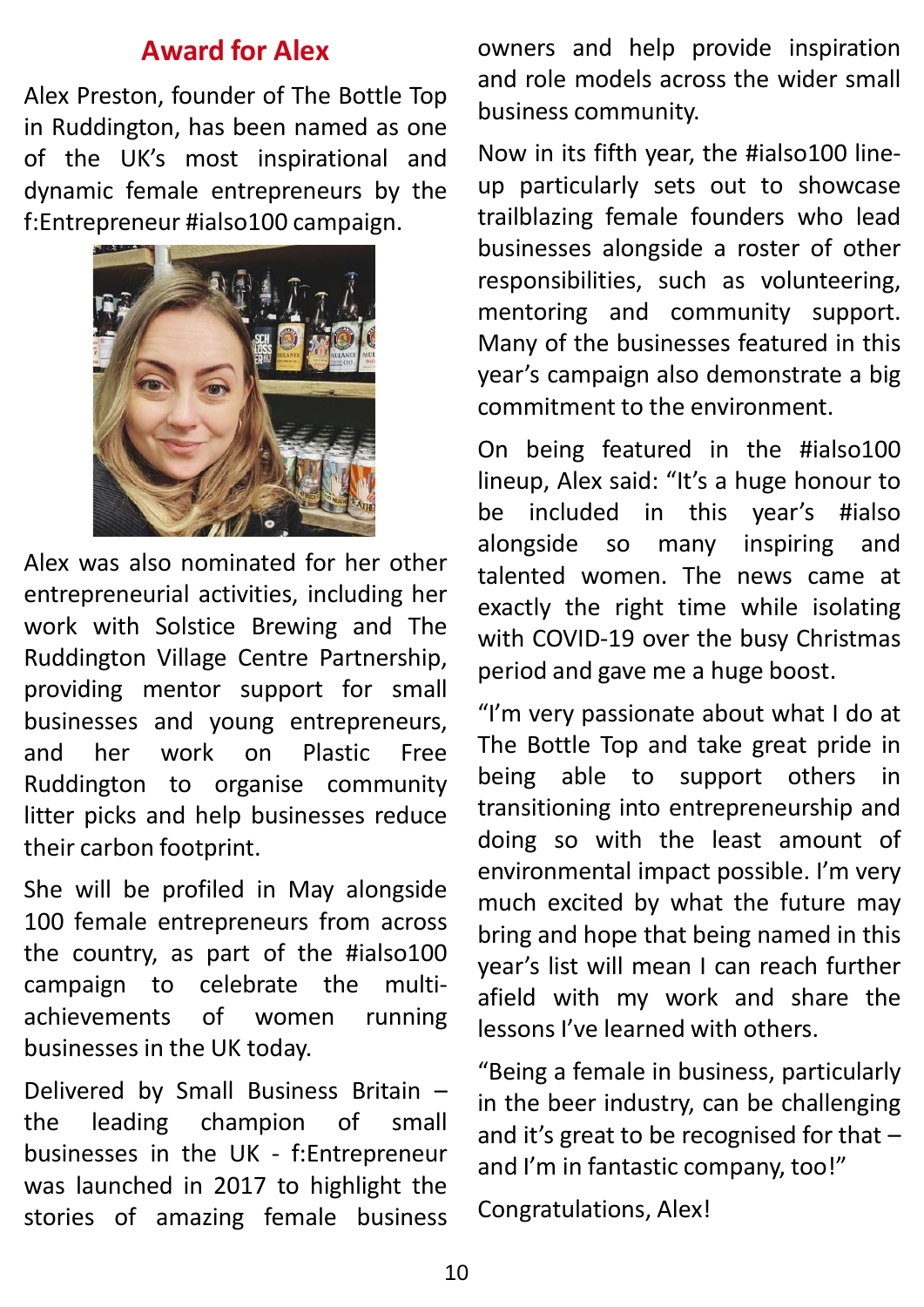#### **Award for Alex**

Alex Preston, founder of The Bottle Top in Ruddington, has been named as one of the UK's most inspirational and dynamic female entrepreneurs by the f:Entrepreneur #ialso100 campaign.



Alex was also nominated for her other entrepreneurial activities, including her work with Solstice Brewing and The Ruddington Village Centre Partnership, providing mentor support for small businesses and young entrepreneurs, and her work on Plastic Free Ruddington to organise community litter picks and help businesses reduce their carbon footprint.

She will be profiled in May alongside 100 female entrepreneurs from across the country, as part of the #ialso100 campaign to celebrate the multiachievements of women running businesses in the UK today.

Delivered by Small Business Britain – the leading champion of small businesses in the UK - f:Entrepreneur was launched in 2017 to highlight the stories of amazing female business owners and help provide inspiration and role models across the wider small business community.

Now in its fifth year, the #ialso100 lineup particularly sets out to showcase trailblazing female founders who lead businesses alongside a roster of other responsibilities, such as volunteering, mentoring and community support. Many of the businesses featured in this year's campaign also demonstrate a big commitment to the environment.

On being featured in the #ialso100 lineup, Alex said: "It's a huge honour to be included in this year's #ialso alongside so many inspiring and talented women. The news came at exactly the right time while isolating with COVID-19 over the busy Christmas period and gave me a huge boost.

"I'm very passionate about what I do at The Bottle Top and take great pride in being able to support others in transitioning into entrepreneurship and doing so with the least amount of environmental impact possible. I'm very much excited by what the future may bring and hope that being named in this year's list will mean I can reach further afield with my work and share the lessons I've learned with others.

"Being a female in business, particularly in the beer industry, can be challenging and it's great to be recognised for that – and I'm in fantastic company, too!"

Congratulations, Alex!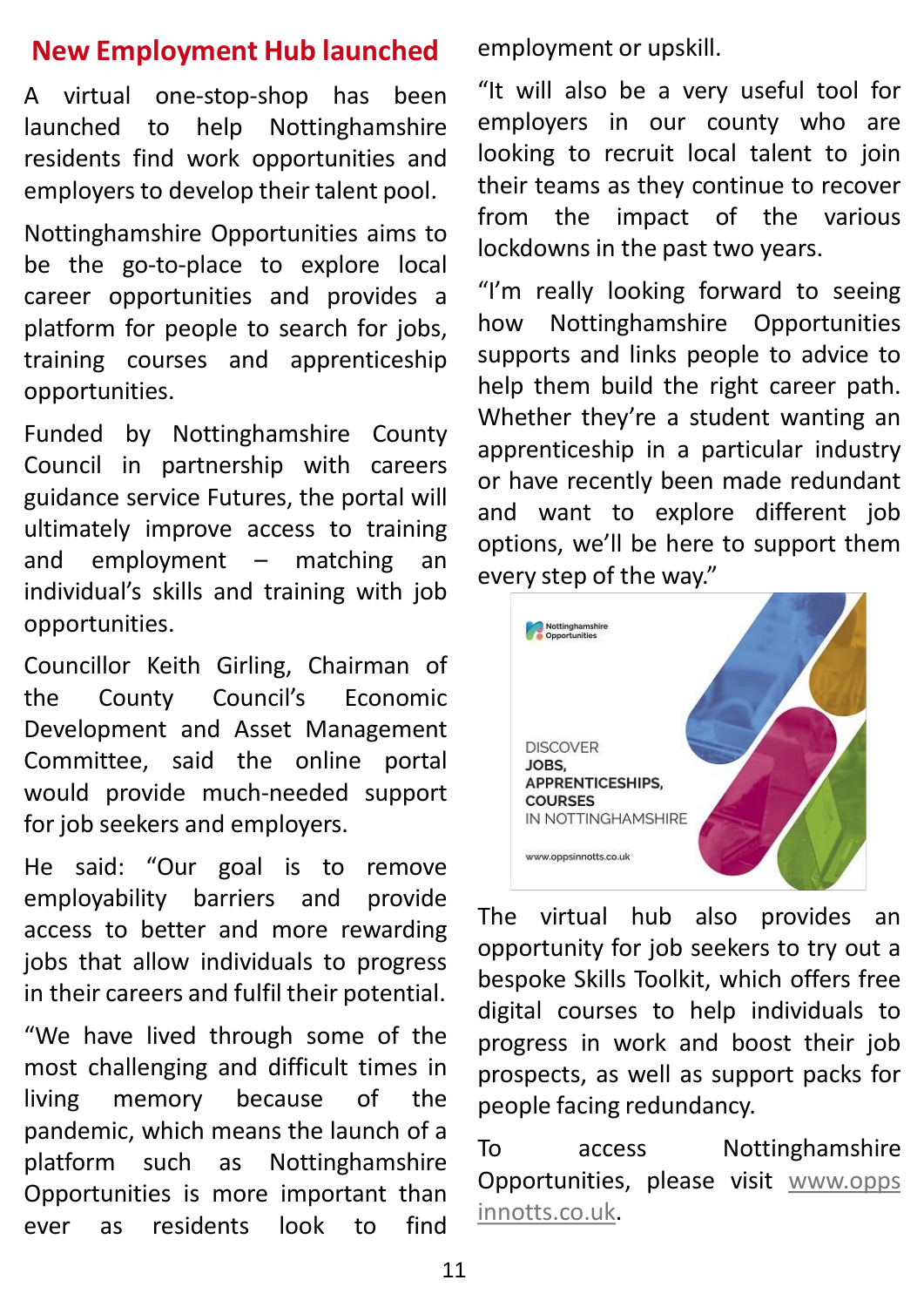## **New Employment Hub launched**

A virtual one-stop-shop has been launched to help Nottinghamshire residents find work opportunities and employers to develop their talent pool.

Nottinghamshire Opportunities aims to be the go-to-place to explore local career opportunities and provides a platform for people to search for jobs, training courses and apprenticeship opportunities.

Funded by Nottinghamshire County Council in partnership with careers guidance service Futures, the portal will ultimately improve access to training and employment – matching an individual's skills and training with job opportunities.

Councillor Keith Girling, Chairman of the County Council's Economic Development and Asset Management Committee, said the online portal would provide much-needed support for job seekers and employers.

He said: "Our goal is to remove employability barriers and provide access to better and more rewarding jobs that allow individuals to progress in their careers and fulfil their potential.

"We have lived through some of the most challenging and difficult times in living memory because of the pandemic, which means the launch of a platform such as Nottinghamshire Opportunities is more important than ever as residents look to find

employment or upskill.

"It will also be a very useful tool for employers in our county who are looking to recruit local talent to join their teams as they continue to recover from the impact of the various lockdowns in the past two years.

"I'm really looking forward to seeing how Nottinghamshire Opportunities supports and links people to advice to help them build the right career path. Whether they're a student wanting an apprenticeship in a particular industry or have recently been made redundant and want to explore different job options, we'll be here to support them every step of the way."



The virtual hub also provides an opportunity for job seekers to try out a bespoke Skills Toolkit, which offers free digital courses to help individuals to progress in work and boost their job prospects, as well as support packs for people facing redundancy.

To access Nottinghamshire Opportunities, please visit www.opps [innotts.co.uk.](http://www.oppsinnotts.co.uk/)